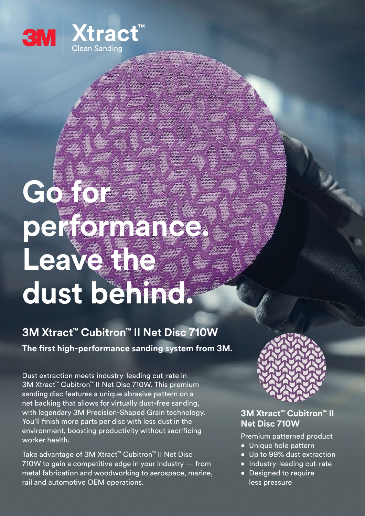

# **Go for performance. Leave the dust behind.**

## **3M Xtract™ Cubitron™ II Net Disc 710W The first high-performance sanding system from 3M.**

Dust extraction meets industry-leading cut-rate in 3M Xtract™ Cubitron™ II Net Disc 710W. This premium sanding disc features a unique abrasive pattern on a net backing that allows for virtually dust-free sanding, with legendary 3M Precision-Shaped Grain technology. You'll finish more parts per disc with less dust in the environment, boosting productivity without sacrificing worker health.

Take advantage of 3M Xtract™ Cubitron™ II Net Disc 710W to gain a competitive edge in your industry — from metal fabrication and woodworking to aerospace, marine, rail and automotive OEM operations.



#### **3M Xtract™ Cubitron™ II Net Disc 710W**

Premium patterned product

- Unique hole pattern
- Up to 99% dust extraction
- Industry-leading cut-rate
- Designed to require less pressure